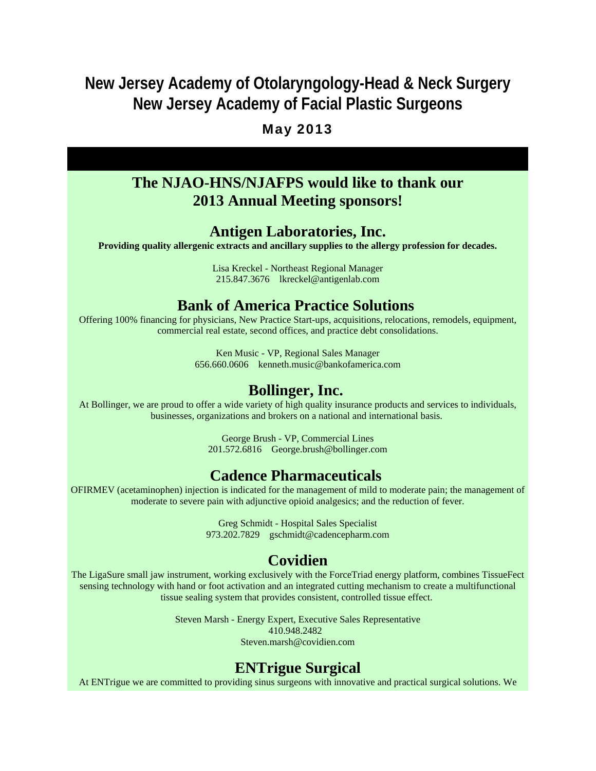# **New Jersey Academy of Otolaryngology-Head & Neck Surgery New Jersey Academy of Facial Plastic Surgeons**

### May 2013

# **The NJAO-HNS/NJAFPS would like to thank our 2013 Annual Meeting sponsors!**

#### **Antigen Laboratories, Inc.**

**Providing quality allergenic extracts and ancillary supplies to the allergy profession for decades.**

Lisa Kreckel - Northeast Regional Manager 215.847.3676 lkreckel@antigenlab.com

### **Bank of America Practice Solutions**

Offering 100% financing for physicians, New Practice Start-ups, acquisitions, relocations, remodels, equipment, commercial real estate, second offices, and practice debt consolidations.

> Ken Music - VP, Regional Sales Manager 656.660.0606 kenneth.music@bankofamerica.com

## **Bollinger, Inc.**

At Bollinger, we are proud to offer a wide variety of high quality insurance products and services to individuals, businesses, organizations and brokers on a national and international basis.

> George Brush - VP, Commercial Lines 201.572.6816 George.brush@bollinger.com

# **Cadence Pharmaceuticals**

OFIRMEV (acetaminophen) injection is indicated for the management of mild to moderate pain; the management of moderate to severe pain with adjunctive opioid analgesics; and the reduction of fever.

> Greg Schmidt - Hospital Sales Specialist 973.202.7829 gschmidt@cadencepharm.com

# **Covidien**

The LigaSure small jaw instrument, working exclusively with the ForceTriad energy platform, combines TissueFect sensing technology with hand or foot activation and an integrated cutting mechanism to create a multifunctional tissue sealing system that provides consistent, controlled tissue effect.

> Steven Marsh - Energy Expert, Executive Sales Representative 410.948.2482 Steven.marsh@covidien.com

# **ENTrigue Surgical**

At ENTrigue we are committed to providing sinus surgeons with innovative and practical surgical solutions. We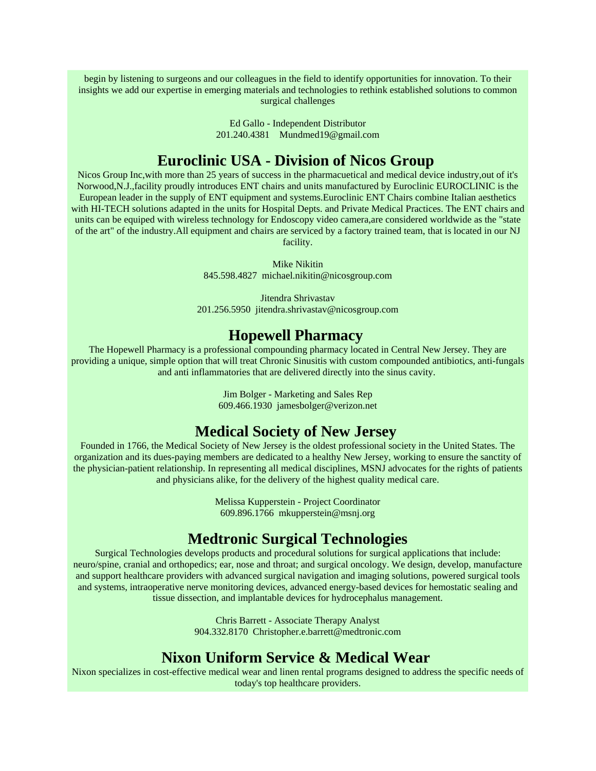begin by listening to surgeons and our colleagues in the field to identify opportunities for innovation. To their insights we add our expertise in emerging materials and technologies to rethink established solutions to common surgical challenges

> Ed Gallo - Independent Distributor 201.240.4381 Mundmed19@gmail.com

# **Euroclinic USA - Division of Nicos Group**

Nicos Group Inc,with more than 25 years of success in the pharmacuetical and medical device industry,out of it's Norwood,N.J.,facility proudly introduces ENT chairs and units manufactured by Euroclinic EUROCLINIC is the European leader in the supply of ENT equipment and systems.Euroclinic ENT Chairs combine Italian aesthetics with HI-TECH solutions adapted in the units for Hospital Depts. and Private Medical Practices. The ENT chairs and units can be equiped with wireless technology for Endoscopy video camera,are considered worldwide as the "state of the art" of the industry.All equipment and chairs are serviced by a factory trained team, that is located in our NJ facility.

> Mike Nikitin 845.598.4827 michael.nikitin@nicosgroup.com

Jitendra Shrivastav 201.256.5950 jitendra.shrivastav@nicosgroup.com

### **Hopewell Pharmacy**

The Hopewell Pharmacy is a professional compounding pharmacy located in Central New Jersey. They are providing a unique, simple option that will treat Chronic Sinusitis with custom compounded antibiotics, anti-fungals and anti inflammatories that are delivered directly into the sinus cavity.

> Jim Bolger - Marketing and Sales Rep 609.466.1930 jamesbolger@verizon.net

# **Medical Society of New Jersey**

Founded in 1766, the Medical Society of New Jersey is the oldest professional society in the United States. The organization and its dues-paying members are dedicated to a healthy New Jersey, working to ensure the sanctity of the physician-patient relationship. In representing all medical disciplines, MSNJ advocates for the rights of patients and physicians alike, for the delivery of the highest quality medical care.

> Melissa Kupperstein - Project Coordinator 609.896.1766 mkupperstein@msnj.org

# **Medtronic Surgical Technologies**

Surgical Technologies develops products and procedural solutions for surgical applications that include: neuro/spine, cranial and orthopedics; ear, nose and throat; and surgical oncology. We design, develop, manufacture and support healthcare providers with advanced surgical navigation and imaging solutions, powered surgical tools and systems, intraoperative nerve monitoring devices, advanced energy-based devices for hemostatic sealing and tissue dissection, and implantable devices for hydrocephalus management.

> Chris Barrett - Associate Therapy Analyst 904.332.8170 Christopher.e.barrett@medtronic.com

# **Nixon Uniform Service & Medical Wear**

Nixon specializes in cost-effective medical wear and linen rental programs designed to address the specific needs of today's top healthcare providers.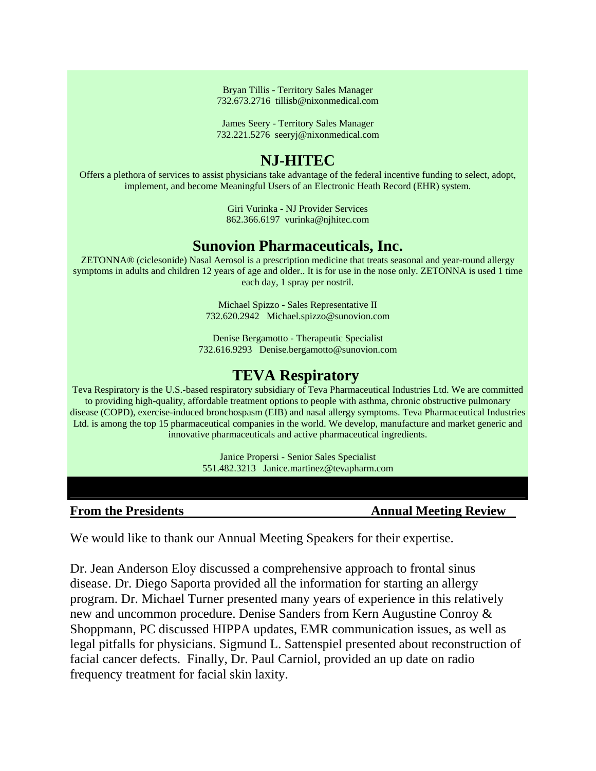Bryan Tillis - Territory Sales Manager 732.673.2716 tillisb@nixonmedical.com

James Seery - Territory Sales Manager 732.221.5276 seeryj@nixonmedical.com

# **NJ-HITEC**

Offers a plethora of services to assist physicians take advantage of the federal incentive funding to select, adopt, implement, and become Meaningful Users of an Electronic Heath Record (EHR) system.

> Giri Vurinka - NJ Provider Services 862.366.6197 vurinka@njhitec.com

# **Sunovion Pharmaceuticals, Inc.**

ZETONNA® (ciclesonide) Nasal Aerosol is a prescription medicine that treats seasonal and year-round allergy symptoms in adults and children 12 years of age and older.. It is for use in the nose only. ZETONNA is used 1 time each day, 1 spray per nostril.

> Michael Spizzo - Sales Representative II 732.620.2942 Michael.spizzo@sunovion.com

Denise Bergamotto - Therapeutic Specialist 732.616.9293 Denise.bergamotto@sunovion.com

# **TEVA Respiratory**

Teva Respiratory is the U.S.-based respiratory subsidiary of Teva Pharmaceutical Industries Ltd. We are committed to providing high-quality, affordable treatment options to people with asthma, chronic obstructive pulmonary disease (COPD), exercise-induced bronchospasm (EIB) and nasal allergy symptoms. Teva Pharmaceutical Industries Ltd. is among the top 15 pharmaceutical companies in the world. We develop, manufacture and market generic and innovative pharmaceuticals and active pharmaceutical ingredients.

> Janice Propersi - Senior Sales Specialist 551.482.3213 Janice.martinez@tevapharm.com

**From the Presidents Annual Meeting Review** 

We would like to thank our Annual Meeting Speakers for their expertise.

Dr. Jean Anderson Eloy discussed a comprehensive approach to frontal sinus disease. Dr. Diego Saporta provided all the information for starting an allergy program. Dr. Michael Turner presented many years of experience in this relatively new and uncommon procedure. Denise Sanders from Kern Augustine Conroy & Shoppmann, PC discussed HIPPA updates, EMR communication issues, as well as legal pitfalls for physicians. Sigmund L. Sattenspiel presented about reconstruction of facial cancer defects. Finally, Dr. Paul Carniol, provided an up date on radio frequency treatment for facial skin laxity.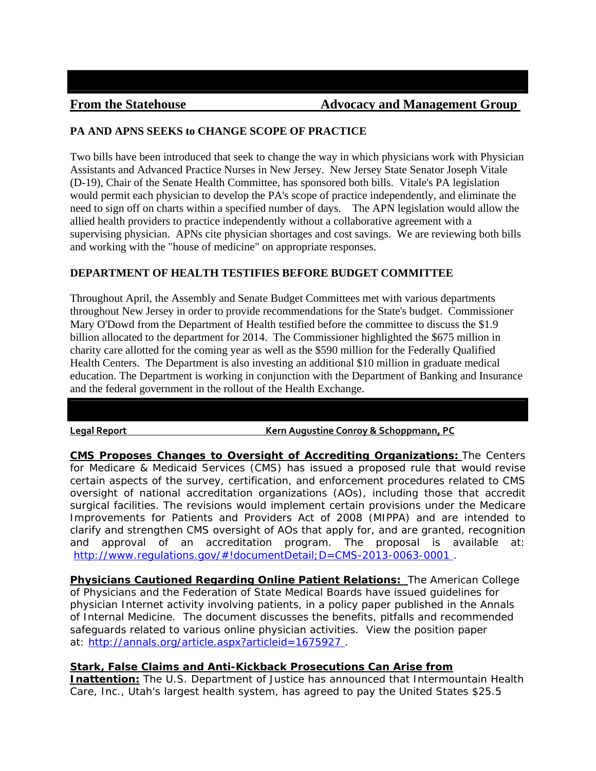#### **PA AND APNS SEEKS to CHANGE SCOPE OF PRACTICE**

Two bills have been introduced that seek to change the way in which physicians work with Physician Assistants and Advanced Practice Nurses in New Jersey. New Jersey State Senator Joseph Vitale (D-19), Chair of the Senate Health Committee, has sponsored both bills. Vitale's PA legislation would permit each physician to develop the PA's scope of practice independently, and eliminate the need to sign off on charts within a specified number of days. The APN legislation would allow the allied health providers to practice independently without a collaborative agreement with a supervising physician. APNs cite physician shortages and cost savings. We are reviewing both bills and working with the "house of medicine" on appropriate responses.

#### **DEPARTMENT OF HEALTH TESTIFIES BEFORE BUDGET COMMITTEE**

Throughout April, the Assembly and Senate Budget Committees met with various departments throughout New Jersey in order to provide recommendations for the State's budget. Commissioner Mary O'Dowd from the Department of Health testified before the committee to discuss the \$1.9 billion allocated to the department for 2014. The Commissioner highlighted the \$675 million in charity care allotted for the coming year as well as the \$590 million for the Federally Qualified Health Centers. The Department is also investing an additional \$10 million in graduate medical education. The Department is working in conjunction with the Department of Banking and Insurance and the federal government in the rollout of the Health Exchange.

**Legal Report Kern Augustine Conroy & Schoppmann, PC**

**CMS Proposes Changes to Oversight of Accrediting Organizations:** The Centers for Medicare & Medicaid Services (CMS) has issued a proposed rule that would revise certain aspects of the survey, certification, and enforcement procedures related to CMS oversight of national accreditation organizations (AOs), including those that accredit surgical facilities. The revisions would implement certain provisions under the Medicare Improvements for Patients and Providers Act of 2008 (MIPPA) and are intended to clarify and strengthen CMS oversight of AOs that apply for, and are granted, recognition and approval of an accreditation program. The proposal is available at: http://www.regulations.gov/#!documentDetail;D=CMS-2013-0063-0001

**Physicians Cautioned Regarding Online Patient Relations:** The American College of Physicians and the Federation of State Medical Boards have issued guidelines for physician Internet activity involving patients, in a policy paper published in the Annals of Internal Medicine. The document discusses the benefits, pitfalls and recommended safeguards related to various online physician activities. View the position paper at: http://annals.org/article.aspx?articleid=1675927 .

#### **Stark, False Claims and Anti-Kickback Prosecutions Can Arise from**

**Inattention:** The U.S. Department of Justice has announced that Intermountain Health Care, Inc., Utah's largest health system, has agreed to pay the United States \$25.5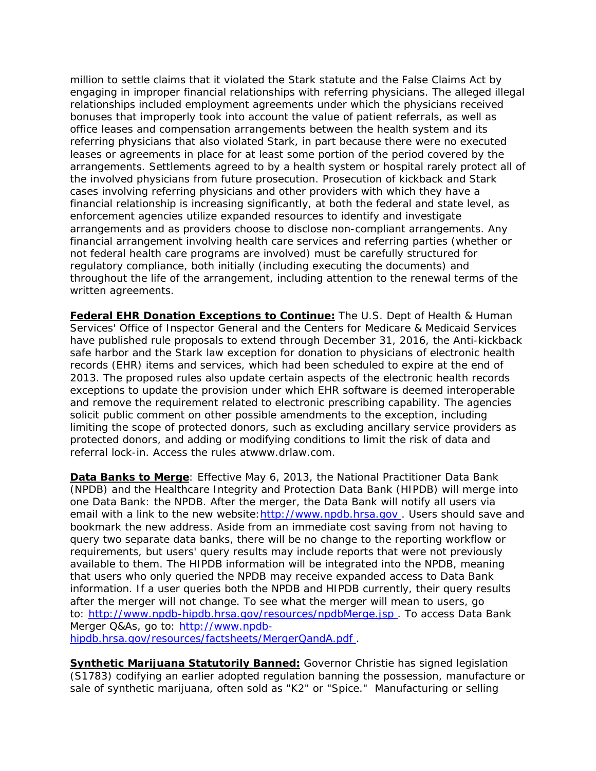million to settle claims that it violated the Stark statute and the False Claims Act by engaging in improper financial relationships with referring physicians. The alleged illegal relationships included employment agreements under which the physicians received bonuses that improperly took into account the value of patient referrals, as well as office leases and compensation arrangements between the health system and its referring physicians that also violated Stark, in part because there were no executed leases or agreements in place for at least some portion of the period covered by the arrangements. Settlements agreed to by a health system or hospital rarely protect all of the involved physicians from future prosecution. Prosecution of kickback and Stark cases involving referring physicians and other providers with which they have a financial relationship is increasing significantly, at both the federal and state level, as enforcement agencies utilize expanded resources to identify and investigate arrangements and as providers choose to disclose non-compliant arrangements. Any financial arrangement involving health care services and referring parties (whether or not federal health care programs are involved) must be carefully structured for regulatory compliance, both initially (including executing the documents) and throughout the life of the arrangement, including attention to the renewal terms of the written agreements.

**Federal EHR Donation Exceptions to Continue:** The U.S. Dept of Health & Human Services' Office of Inspector General and the Centers for Medicare & Medicaid Services have published rule proposals to extend through December 31, 2016, the Anti-kickback safe harbor and the Stark law exception for donation to physicians of electronic health records (EHR) items and services, which had been scheduled to expire at the end of 2013. The proposed rules also update certain aspects of the electronic health records exceptions to update the provision under which EHR software is deemed interoperable and remove the requirement related to electronic prescribing capability. The agencies solicit public comment on other possible amendments to the exception, including limiting the scope of protected donors, such as excluding ancillary service providers as protected donors, and adding or modifying conditions to limit the risk of data and referral lock-in. Access the rules atwww.drlaw.com.

**Data Banks to Merge**: Effective May 6, 2013, the National Practitioner Data Bank (NPDB) and the Healthcare Integrity and Protection Data Bank (HIPDB) will merge into one Data Bank: the NPDB. After the merger, the Data Bank will notify all users via email with a link to the new website: http://www.npdb.hrsa.gov. Users should save and bookmark the new address. Aside from an immediate cost saving from not having to query two separate data banks, there will be no change to the reporting workflow or requirements, but users' query results may include reports that were not previously available to them. The HIPDB information will be integrated into the NPDB, meaning that users who only queried the NPDB may receive expanded access to Data Bank information. If a user queries both the NPDB and HIPDB currently, their query results after the merger will not change. To see what the merger will mean to users, go to: http://www.npdb-hipdb.hrsa.gov/resources/npdbMerge.jsp . To access Data Bank Merger Q&As, go to: http://www.npdbhipdb.hrsa.gov/resources/factsheets/MergerQandA.pdf .

**Synthetic Marijuana Statutorily Banned:** Governor Christie has signed legislation (S1783) codifying an earlier adopted regulation banning the possession, manufacture or sale of synthetic marijuana, often sold as "K2" or "Spice." Manufacturing or selling